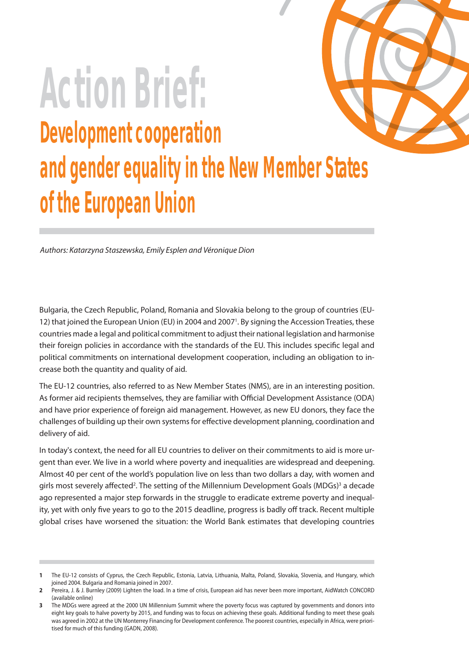

# **Action Brief: Development cooperation and gender equality in the New Member States of the European Union**

Authors: Katarzyna Staszewska, Emily Esplen and Véronique Dion

Bulgaria, the Czech Republic, Poland, Romania and Slovakia belong to the group of countries (EU-12) that joined the European Union (EU) in 2004 and 2007<sup>1</sup>. By signing the Accession Treaties, these countries made a legal and political commitment to adjust their national legislation and harmonise their foreign policies in accordance with the standards of the EU. This includes specific legal and political commitments on international development cooperation, including an obligation to increase both the quantity and quality of aid.

The EU-12 countries, also referred to as New Member States (NMS), are in an interesting position. As former aid recipients themselves, they are familiar with Official Development Assistance (ODA) and have prior experience of foreign aid management. However, as new EU donors, they face the challenges of building up their own systems for effective development planning, coordination and delivery of aid.

In today's context, the need for all EU countries to deliver on their commitments to aid is more urgent than ever. We live in a world where poverty and inequalities are widespread and deepening. Almost 40 per cent of the world's population live on less than two dollars a day, with women and girls most severely affected<sup>2</sup>. The setting of the Millennium Development Goals (MDGs)<sup>3</sup> a decade ago represented a major step forwards in the struggle to eradicate extreme poverty and inequality, yet with only five years to go to the 2015 deadline, progress is badly off track. Recent multiple global crises have worsened the situation: the World Bank estimates that developing countries

**<sup>1</sup>** The EU-12 consists of Cyprus, the Czech Republic, Estonia, Latvia, Lithuania, Malta, Poland, Slovakia, Slovenia, and Hungary, which joined 2004. Bulgaria and Romania joined in 2007.

**<sup>2</sup>** Pereira, J. & J. Burnley (2009) Lighten the load. In a time of crisis, European aid has never been more important, AidWatch CONCORD (available online)

**<sup>3</sup>** The MDGs were agreed at the 2000 UN Millennium Summit where the poverty focus was captured by governments and donors into eight key goals to halve poverty by 2015, and funding was to focus on achieving these goals. Additional funding to meet these goals was agreed in 2002 at the UN Monterrey Financing for Development conference. The poorest countries, especially in Africa, were prioritised for much of this funding (GADN, 2008).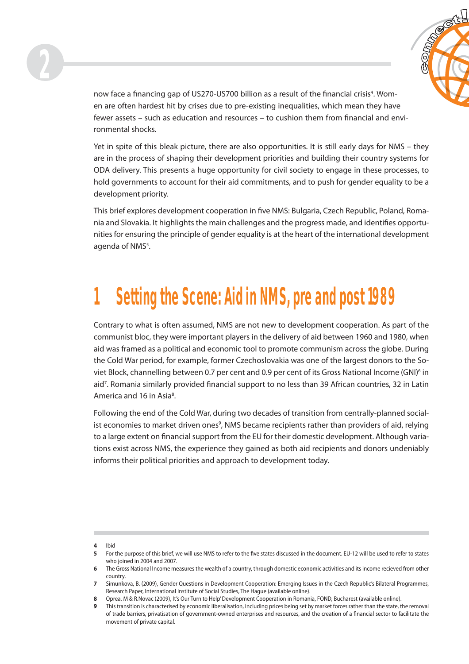



now face a financing gap of US270-US700 billion as a result of the financial crisis<sup>4</sup>. Women are often hardest hit by crises due to pre-existing inequalities, which mean they have fewer assets – such as education and resources – to cushion them from financial and environmental shocks.

Yet in spite of this bleak picture, there are also opportunities. It is still early days for NMS – they are in the process of shaping their development priorities and building their country systems for ODA delivery. This presents a huge opportunity for civil society to engage in these processes, to hold governments to account for their aid commitments, and to push for gender equality to be a development priority.

This brief explores development cooperation in five NMS: Bulgaria, Czech Republic, Poland, Romania and Slovakia. It highlights the main challenges and the progress made, and identifies opportunities for ensuring the principle of gender equality is at the heart of the international development agenda of NMS<sup>5</sup>.

## **1 Setting the Scene: Aid in NMS, pre and post 1989**

Contrary to what is often assumed, NMS are not new to development cooperation. As part of the communist bloc, they were important players in the delivery of aid between 1960 and 1980, when aid was framed as a political and economic tool to promote communism across the globe. During the Cold War period, for example, former Czechoslovakia was one of the largest donors to the Soviet Block, channelling between 0.7 per cent and 0.9 per cent of its Gross National Income (GNI)<sup>6</sup> in aid<sup>7</sup>. Romania similarly provided financial support to no less than 39 African countries, 32 in Latin America and 16 in Asia<sup>8</sup>.

Following the end of the Cold War, during two decades of transition from centrally-planned socialist economies to market driven ones<sup>9</sup>, NMS became recipients rather than providers of aid, relying to a large extent on financial support from the EU for their domestic development. Although variations exist across NMS, the experience they gained as both aid recipients and donors undeniably informs their political priorities and approach to development today.

**<sup>4</sup>** Ibid

<sup>5</sup> For the purpose of this brief, we will use NMS to refer to the five states discussed in the document. EU-12 will be used to refer to states who joined in 2004 and 2007.

**<sup>6</sup>** The Gross National Income measures the wealth of a country, through domestic economic activities and its income recieved from other country.

**<sup>7</sup>** Simunkova, B. (2009), Gender Questions in Development Cooperation: Emerging Issues in the Czech Republic's Bilateral Programmes, Research Paper, International Institute of Social Studies, The Hague (available online).

**<sup>8</sup>** Oprea, M & R.Novac (2009), It's Our Turn to Help' Development Cooperation in Romania, FOND, Bucharest (available online).

**<sup>9</sup>** This transition is characterised by economic liberalisation, including prices being set by market forces rather than the state, the removal of trade barriers, privatisation of government-owned enterprises and resources, and the creation of a financial sector to facilitate the movement of private capital.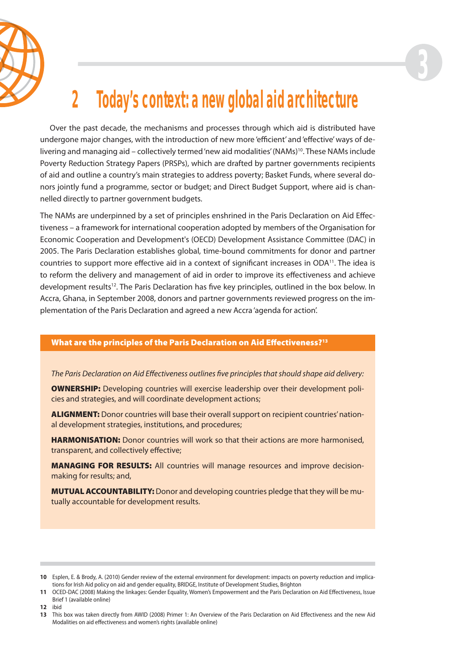



## **2 Today's context: a new global aid architecture**

Over the past decade, the mechanisms and processes through which aid is distributed have undergone major changes, with the introduction of new more 'efficient' and 'effective' ways of delivering and managing aid – collectively termed 'new aid modalities' (NAMs)<sup>10</sup>. These NAMs include Poverty Reduction Strategy Papers (PRSPs), which are drafted by partner governments recipients of aid and outline a country's main strategies to address poverty; Basket Funds, where several donors jointly fund a programme, sector or budget; and Direct Budget Support, where aid is channelled directly to partner government budgets.

The NAMs are underpinned by a set of principles enshrined in the Paris Declaration on Aid Effectiveness – a framework for international cooperation adopted by members of the Organisation for Economic Cooperation and Development's (OECD) Development Assistance Committee (DAC) in 2005. The Paris Declaration establishes global, time-bound commitments for donor and partner countries to support more effective aid in a context of significant increases in ODA<sup>11</sup>. The idea is to reform the delivery and management of aid in order to improve its effectiveness and achieve development results<sup>12</sup>. The Paris Declaration has five key principles, outlined in the box below. In Accra, Ghana, in September 2008, donors and partner governments reviewed progress on the implementation of the Paris Declaration and agreed a new Accra 'agenda for action'.

#### **What are the principles of the Paris Declaration on Aid Effectiveness?**<sup>13</sup>

The Paris Declaration on Aid Effectiveness outlines five principles that should shape aid delivery:

**OWNERSHIP:** Developing countries will exercise leadership over their development policies and strategies, and will coordinate development actions;

**ALIGNMENT:** Donor countries will base their overall support on recipient countries' national development strategies, institutions, and procedures;

**HARMONISATION:** Donor countries will work so that their actions are more harmonised, transparent, and collectively effective;

**MANAGING FOR RESULTS:** All countries will manage resources and improve decisionmaking for results; and,

**MUTUAL ACCOUNTABILITY:** Donor and developing countries pledge that they will be mutually accountable for development results.

**<sup>10</sup>** Esplen, E. & Brody, A. (2010) Gender review of the external environment for development: impacts on poverty reduction and implications for Irish Aid policy on aid and gender equality, BRIDGE, Institute of Development Studies, Brighton

**<sup>11</sup>** OCED-DAC (2008) Making the linkages: Gender Equality, Women's Empowerment and the Paris Declaration on Aid Effectiveness, Issue Brief 1 (available online)

**<sup>12</sup>** ibid

<sup>13</sup> This box was taken directly from AWID (2008) Primer 1: An Overview of the Paris Declaration on Aid Effectiveness and the new Aid Modalities on aid effectiveness and women's rights (available online)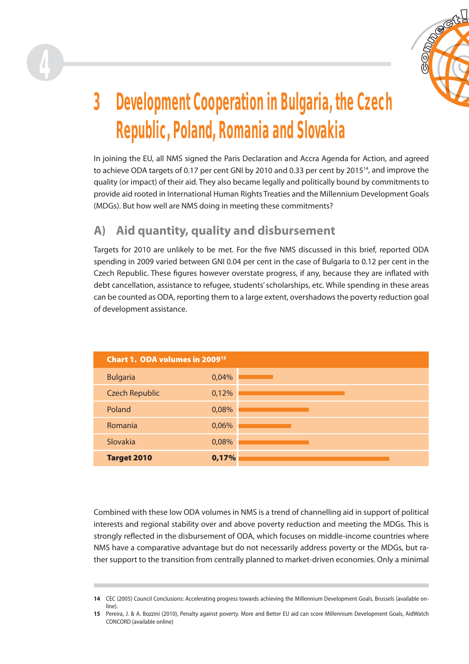

## **3 Development Cooperation in Bulgaria, the Czech Republic, Poland, Romania and Slovakia**

In joining the EU, all NMS signed the Paris Declaration and Accra Agenda for Action, and agreed to achieve ODA targets of 0.17 per cent GNI by 2010 and 0.33 per cent by  $2015^{14}$ , and improve the quality (or impact) of their aid. They also became legally and politically bound by commitments to provide aid rooted in International Human Rights Treaties and the Millennium Development Goals (MDGs). But how well are NMS doing in meeting these commitments?

## **A) Aid quantity, quality and disbursement**

**4**

Targets for 2010 are unlikely to be met. For the five NMS discussed in this brief, reported ODA spending in 2009 varied between GNI 0.04 per cent in the case of Bulgaria to 0.12 per cent in the Czech Republic. These figures however overstate progress, if any, because they are inflated with debt cancellation, assistance to refugee, students' scholarships, etc. While spending in these areas can be counted as ODA, reporting them to a large extent, overshadows the poverty reduction goal of development assistance.

| Chart 1. ODA volumes in 2009 <sup>15</sup> |       |  |  |
|--------------------------------------------|-------|--|--|
| <b>Bulgaria</b>                            | 0,04% |  |  |
| <b>Czech Republic</b>                      | 0,12% |  |  |
| Poland                                     | 0,08% |  |  |
| Romania                                    | 0,06% |  |  |
| Slovakia                                   | 0,08% |  |  |
| <b>Target 2010</b>                         | 0,17% |  |  |

Combined with these low ODA volumes in NMS is a trend of channelling aid in support of political interests and regional stability over and above poverty reduction and meeting the MDGs. This is strongly reflected in the disbursement of ODA, which focuses on middle-income countries where NMS have a comparative advantage but do not necessarily address poverty or the MDGs, but rather support to the transition from centrally planned to market-driven economies. Only a minimal

**<sup>14</sup>** CEC (2005) Council Conclusions: Accelerating progress towards achieving the Millennium Development Goals, Brussels (available online).

**<sup>15</sup>** Pereira, J. & A. Bozzini (2010), Penalty against poverty. More and Better EU aid can score Millennium Development Goals, AidWatch CONCORD (available online)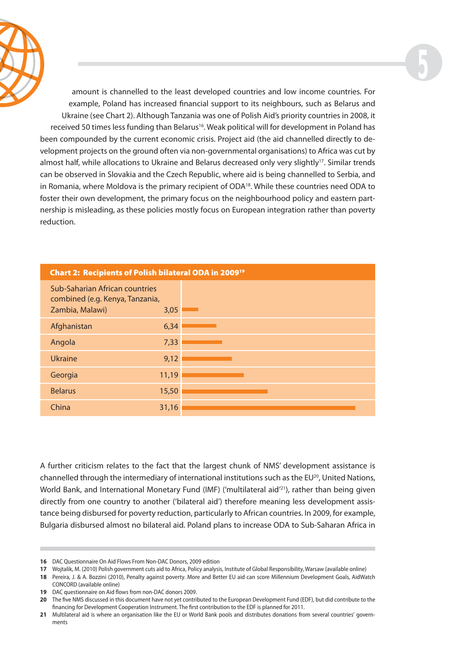



amount is channelled to the least developed countries and low income countries. For example, Poland has increased financial support to its neighbours, such as Belarus and Ukraine (see Chart 2). Although Tanzania was one of Polish Aid's priority countries in 2008, it received 50 times less funding than Belarus<sup>16</sup>. Weak political will for development in Poland has been compounded by the current economic crisis. Project aid (the aid channelled directly to development projects on the ground often via non-governmental organisations) to Africa was cut by almost half, while allocations to Ukraine and Belarus decreased only very slightly<sup>17</sup>. Similar trends can be observed in Slovakia and the Czech Republic, where aid is being channelled to Serbia, and in Romania, where Moldova is the primary recipient of ODA<sup>18</sup>. While these countries need ODA to foster their own development, the primary focus on the neighbourhood policy and eastern partnership is misleading, as these policies mostly focus on European integration rather than poverty reduction.

| <b>Chart 2: Recipients of Polish bilateral ODA in 200919</b>                         |       |  |  |
|--------------------------------------------------------------------------------------|-------|--|--|
| Sub-Saharian African countries<br>combined (e.g. Kenya, Tanzania,<br>Zambia, Malawi) | 3,05  |  |  |
| Afghanistan                                                                          | 6,34  |  |  |
| Angola                                                                               | 7,33  |  |  |
| <b>Ukraine</b>                                                                       | 9,12  |  |  |
| Georgia                                                                              | 11,19 |  |  |
| <b>Belarus</b>                                                                       | 15,50 |  |  |
| China                                                                                | 31,16 |  |  |

A further criticism relates to the fact that the largest chunk of NMS' development assistance is channelled through the intermediary of international institutions such as the EU $^{20}$ , United Nations, World Bank, and International Monetary Fund (IMF) ('multilateral aid'<sup>21</sup>), rather than being given directly from one country to another ('bilateral aid') therefore meaning less development assistance being disbursed for poverty reduction, particularly to African countries. In 2009, for example, Bulgaria disbursed almost no bilateral aid. Poland plans to increase ODA to Sub-Saharan Africa in

**19** DAC questionnaire on Aid flows from non-DAC donors 2009.

**<sup>16</sup>** DAC Questionnaire On Aid Flows From Non-DAC Donors, 2009 edition

**<sup>17</sup>** Wojtalik, M. (2010) Polish government cuts aid to Africa, Policy analysis, Institute of Global Responsibility, Warsaw (available online)

**<sup>18</sup>** Pereira, J. & A. Bozzini (2010), Penalty against poverty. More and Better EU aid can score Millennium Development Goals, AidWatch CONCORD (available online)

**<sup>20</sup>** The five NMS discussed in this document have not yet contributed to the European Development Fund (EDF), but did contribute to the financing for Development Cooperation Instrument. The first contribution to the EDF is planned for 2011.

**<sup>21</sup>** Multilateral aid is where an organisation like the EU or World Bank pools and distributes donations from several countries' governments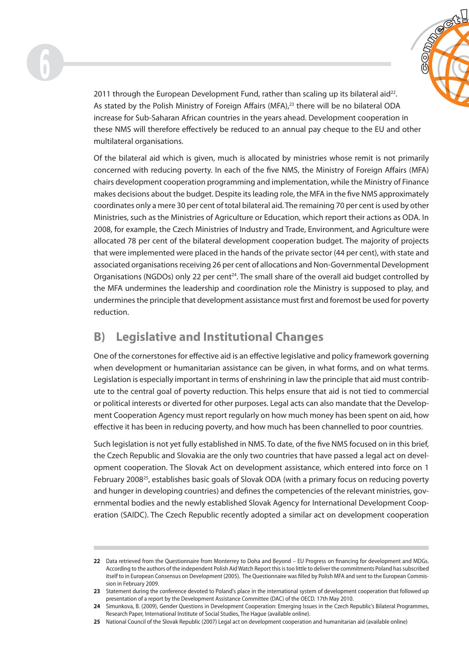

2011 through the European Development Fund, rather than scaling up its bilateral aid $^{22}$ . As stated by the Polish Ministry of Foreign Affairs (MFA),<sup>23</sup> there will be no bilateral ODA increase for Sub-Saharan African countries in the years ahead. Development cooperation in these NMS will therefore effectively be reduced to an annual pay cheque to the EU and other multilateral organisations.

Of the bilateral aid which is given, much is allocated by ministries whose remit is not primarily concerned with reducing poverty. In each of the five NMS, the Ministry of Foreign Affairs (MFA) chairs development cooperation programming and implementation, while the Ministry of Finance makes decisions about the budget. Despite its leading role, the MFA in the five NMS approximately coordinates only a mere 30 per cent of total bilateral aid. The remaining 70 per cent is used by other Ministries, such as the Ministries of Agriculture or Education, which report their actions as ODA. In 2008, for example, the Czech Ministries of Industry and Trade, Environment, and Agriculture were allocated 78 per cent of the bilateral development cooperation budget. The majority of projects that were implemented were placed in the hands of the private sector (44 per cent), with state and associated organisations receiving 26 per cent of allocations and Non-Governmental Development Organisations (NGDOs) only 22 per cent<sup>24</sup>. The small share of the overall aid budget controlled by the MFA undermines the leadership and coordination role the Ministry is supposed to play, and undermines the principle that development assistance must first and foremost be used for poverty reduction.

## **B) Legislative and Institutional Changes**

One of the cornerstones for effective aid is an effective legislative and policy framework governing when development or humanitarian assistance can be given, in what forms, and on what terms. Legislation is especially important in terms of enshrining in law the principle that aid must contribute to the central goal of poverty reduction. This helps ensure that aid is not tied to commercial or political interests or diverted for other purposes. Legal acts can also mandate that the Development Cooperation Agency must report regularly on how much money has been spent on aid, how effective it has been in reducing poverty, and how much has been channelled to poor countries.

Such legislation is not yet fully established in NMS. To date, of the five NMS focused on in this brief, the Czech Republic and Slovakia are the only two countries that have passed a legal act on development cooperation. The Slovak Act on development assistance, which entered into force on 1 February 200825, establishes basic goals of Slovak ODA (with a primary focus on reducing poverty and hunger in developing countries) and defines the competencies of the relevant ministries, governmental bodies and the newly established Slovak Agency for International Development Cooperation (SAIDC). The Czech Republic recently adopted a similar act on development cooperation

<sup>22</sup> Data retrieved from the Questionnaire from Monterrey to Doha and Beyond – EU Progress on financing for development and MDGs. According to the authors of the independent Polish Aid Watch Report this is too little to deliver the commitments Poland has subscribed itself to in European Consensus on Development (2005). The Questionnaire was filled by Polish MFA and sent to the European Commission in February 2009.

**<sup>23</sup>** Statement during the conference devoted to Poland's place in the international system of development cooperation that followed up presentation of a report by the Development Assistance Committee (DAC) of the OECD. 17th May 2010.

**<sup>24</sup>** Simunkova, B. (2009), Gender Questions in Development Cooperation: Emerging Issues in the Czech Republic's Bilateral Programmes, Research Paper, International Institute of Social Studies, The Hague (available online).

**<sup>25</sup>** National Council of the Slovak Republic (2007) Legal act on development cooperation and humanitarian aid (available online)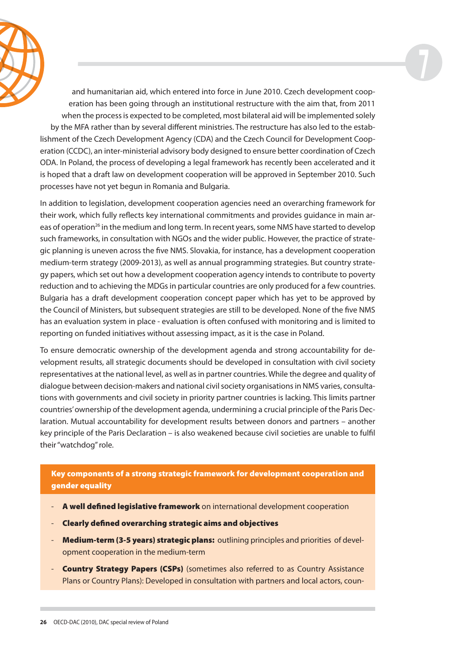



and humanitarian aid, which entered into force in June 2010. Czech development cooperation has been going through an institutional restructure with the aim that, from 2011 when the process is expected to be completed, most bilateral aid will be implemented solely by the MFA rather than by several different ministries. The restructure has also led to the establishment of the Czech Development Agency (CDA) and the Czech Council for Development Cooperation (CCDC), an inter-ministerial advisory body designed to ensure better coordination of Czech ODA. In Poland, the process of developing a legal framework has recently been accelerated and it is hoped that a draft law on development cooperation will be approved in September 2010. Such processes have not yet begun in Romania and Bulgaria.

In addition to legislation, development cooperation agencies need an overarching framework for their work, which fully reflects key international commitments and provides guidance in main areas of operation<sup>26</sup> in the medium and long term. In recent years, some NMS have started to develop such frameworks, in consultation with NGOs and the wider public. However, the practice of strategic planning is uneven across the five NMS. Slovakia, for instance, has a development cooperation medium-term strategy (2009-2013), as well as annual programming strategies. But country strategy papers, which set out how a development cooperation agency intends to contribute to poverty reduction and to achieving the MDGs in particular countries are only produced for a few countries. Bulgaria has a draft development cooperation concept paper which has yet to be approved by the Council of Ministers, but subsequent strategies are still to be developed. None of the five NMS has an evaluation system in place - evaluation is often confused with monitoring and is limited to reporting on funded initiatives without assessing impact, as it is the case in Poland.

To ensure democratic ownership of the development agenda and strong accountability for development results, all strategic documents should be developed in consultation with civil society representatives at the national level, as well as in partner countries. While the degree and quality of dialogue between decision-makers and national civil society organisations in NMS varies, consultations with governments and civil society in priority partner countries is lacking. This limits partner countries' ownership of the development agenda, undermining a crucial principle of the Paris Declaration. Mutual accountability for development results between donors and partners – another key principle of the Paris Declaration – is also weakened because civil societies are unable to fulfi l their "watchdog" role.

**Key components of a strong strategic framework for development cooperation and gender equality**

- **A well defined legislative framework** on international development cooperation
- **Clearly defined overarching strategic aims and objectives**
- **Medium-term (3-5 years) strategic plans:** outlining principles and priorities of development cooperation in the medium-term
- **Country Strategy Papers (CSPs)** (sometimes also referred to as Country Assistance Plans or Country Plans): Developed in consultation with partners and local actors, coun-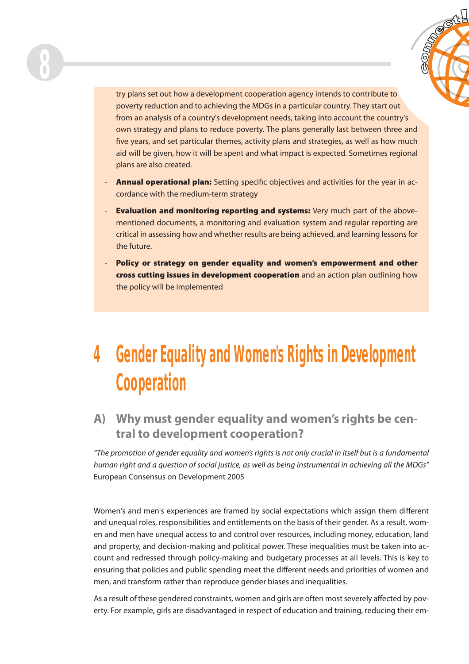



try plans set out how a development cooperation agency intends to contribute to poverty reduction and to achieving the MDGs in a particular country. They start out from an analysis of a country's development needs, taking into account the country's own strategy and plans to reduce poverty. The plans generally last between three and five years, and set particular themes, activity plans and strategies, as well as how much aid will be given, how it will be spent and what impact is expected. Sometimes regional plans are also created.

- **Annual operational plan:** Setting specific objectives and activities for the year in accordance with the medium-term strategy
- **Evaluation and monitoring reporting and systems:** Very much part of the abovementioned documents, a monitoring and evaluation system and regular reporting are critical in assessing how and whether results are being achieved, and learning lessons for the future.
- **Policy or strategy on gender equality and women's empowerment and other cross cutting issues in development cooperation** and an action plan outlining how the policy will be implemented

## **4 Gender Equality and Women's Rights in Development Cooperation**

### **A) Why must gender equality and women's rights be central to development cooperation?**

"The promotion of gender equality and women's rights is not only crucial in itself but is a fundamental human right and a question of social justice, as well as being instrumental in achieving all the MDGs" European Consensus on Development 2005

Women's and men's experiences are framed by social expectations which assign them different and unequal roles, responsibilities and entitlements on the basis of their gender. As a result, women and men have unequal access to and control over resources, including money, education, land and property, and decision-making and political power. These inequalities must be taken into account and redressed through policy-making and budgetary processes at all levels. This is key to ensuring that policies and public spending meet the different needs and priorities of women and men, and transform rather than reproduce gender biases and inequalities.

As a result of these gendered constraints, women and girls are often most severely affected by poverty. For example, girls are disadvantaged in respect of education and training, reducing their em-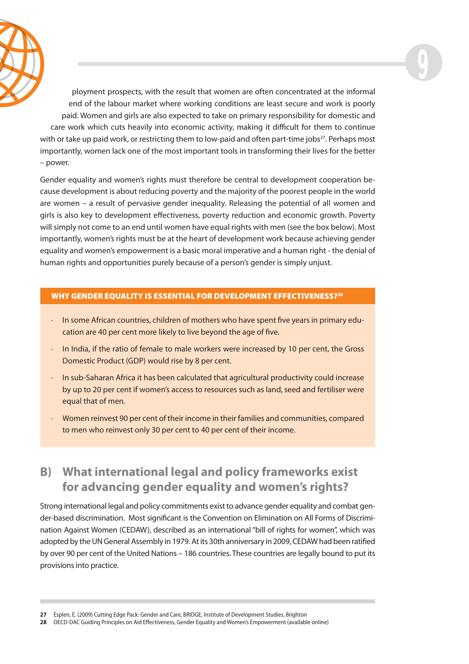

ployment prospects, with the result that women are often concentrated at the informal end of the labour market where working conditions are least secure and work is poorly paid. Women and girls are also expected to take on primary responsibility for domestic and care work which cuts heavily into economic activity, making it difficult for them to continue with or take up paid work, or restricting them to low-paid and often part-time jobs $27$ . Perhaps most importantly, women lack one of the most important tools in transforming their lives for the better – power.

**9**

Gender equality and women's rights must therefore be central to development cooperation because development is about reducing poverty and the majority of the poorest people in the world are women – a result of pervasive gender inequality. Releasing the potential of all women and girls is also key to development effectiveness, poverty reduction and economic growth. Poverty will simply not come to an end until women have equal rights with men (see the box below). Most importantly, women's rights must be at the heart of development work because achieving gender equality and women's empowerment is a basic moral imperative and a human right - the denial of human rights and opportunities purely because of a person's gender is simply unjust.

#### **WHY GENDER EQUALITY IS ESSENTIAL FOR DEVELOPMENT EFFECTIVENESS?28**

- $\cdot$  In some African countries, children of mothers who have spent five years in primary education are 40 per cent more likely to live beyond the age of five.
- · In India, if the ratio of female to male workers were increased by 10 per cent, the Gross Domestic Product (GDP) would rise by 8 per cent.
- · In sub-Saharan Africa it has been calculated that agricultural productivity could increase by up to 20 per cent if women's access to resources such as land, seed and fertiliser were equal that of men.
- · Women reinvest 90 per cent of their income in their families and communities, compared to men who reinvest only 30 per cent to 40 per cent of their income.

### **B) What international legal and policy frameworks exist for advancing gender equality and women's rights?**

Strong international legal and policy commitments exist to advance gender equality and combat gender-based discrimination. Most significant is the Convention on Elimination on All Forms of Discrimination Against Women (CEDAW), described as an international "bill of rights for women", which was adopted by the UN General Assembly in 1979. At its 30th anniversary in 2009, CEDAW had been ratified by over 90 per cent of the United Nations – 186 countries. These countries are legally bound to put its provisions into practice.

**28** OECD-DAC Guiding Principles on Aid Effectiveness, Gender Equality and Women's Empowerment (available online)

**<sup>27</sup>** Esplen, E. (2009) Cutting Edge Pack: Gender and Care, BRIDGE, Institute of Development Studies, Brighton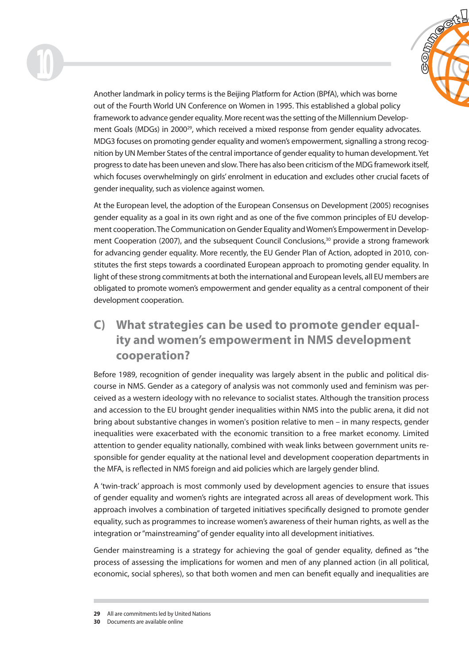



Another landmark in policy terms is the Beijing Platform for Action (BPfA), which was borne out of the Fourth World UN Conference on Women in 1995. This established a global policy framework to advance gender equality. More recent was the setting of the Millennium Development Goals (MDGs) in 2000<sup>29</sup>, which received a mixed response from gender equality advocates. MDG3 focuses on promoting gender equality and women's empowerment, signalling a strong recognition by UN Member States of the central importance of gender equality to human development. Yet progress to date has been uneven and slow. There has also been criticism of the MDG framework itself, which focuses overwhelmingly on girls' enrolment in education and excludes other crucial facets of gender inequality, such as violence against women.

At the European level, the adoption of the European Consensus on Development (2005) recognises gender equality as a goal in its own right and as one of the five common principles of EU development cooperation. The Communication on Gender Equality and Women's Empowerment in Development Cooperation (2007), and the subsequent Council Conclusions,<sup>30</sup> provide a strong framework for advancing gender equality. More recently, the EU Gender Plan of Action, adopted in 2010, constitutes the first steps towards a coordinated European approach to promoting gender equality. In light of these strong commitments at both the international and European levels, all EU members are obligated to promote women's empowerment and gender equality as a central component of their development cooperation.

## **C) What strategies can be used to promote gender equality and women's empowerment in NMS development cooperation?**

Before 1989, recognition of gender inequality was largely absent in the public and political discourse in NMS. Gender as a category of analysis was not commonly used and feminism was perceived as a western ideology with no relevance to socialist states. Although the transition process and accession to the EU brought gender inequalities within NMS into the public arena, it did not bring about substantive changes in women's position relative to men – in many respects, gender inequalities were exacerbated with the economic transition to a free market economy. Limited attention to gender equality nationally, combined with weak links between government units responsible for gender equality at the national level and development cooperation departments in the MFA, is reflected in NMS foreign and aid policies which are largely gender blind.

A 'twin-track' approach is most commonly used by development agencies to ensure that issues of gender equality and women's rights are integrated across all areas of development work. This approach involves a combination of targeted initiatives specifically designed to promote gender equality, such as programmes to increase women's awareness of their human rights, as well as the integration or "mainstreaming" of gender equality into all development initiatives.

Gender mainstreaming is a strategy for achieving the goal of gender equality, defined as "the process of assessing the implications for women and men of any planned action (in all political, economic, social spheres), so that both women and men can benefit equally and inequalities are

**<sup>29</sup>** All are commitments led by United Nations

**<sup>30</sup>** Documents are available online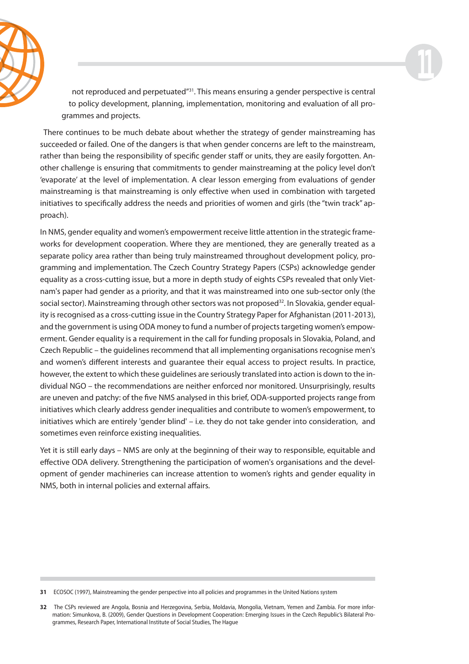



not reproduced and perpetuated<sup>"31</sup>. This means ensuring a gender perspective is central to policy development, planning, implementation, monitoring and evaluation of all programmes and projects.

There continues to be much debate about whether the strategy of gender mainstreaming has succeeded or failed. One of the dangers is that when gender concerns are left to the mainstream, rather than being the responsibility of specific gender staff or units, they are easily forgotten. Another challenge is ensuring that commitments to gender mainstreaming at the policy level don't 'evaporate' at the level of implementation. A clear lesson emerging from evaluations of gender mainstreaming is that mainstreaming is only effective when used in combination with targeted initiatives to specifically address the needs and priorities of women and girls (the "twin track" approach).

In NMS, gender equality and women's empowerment receive little attention in the strategic frameworks for development cooperation. Where they are mentioned, they are generally treated as a separate policy area rather than being truly mainstreamed throughout development policy, programming and implementation. The Czech Country Strategy Papers (CSPs) acknowledge gender equality as a cross-cutting issue, but a more in depth study of eights CSPs revealed that only Vietnam's paper had gender as a priority, and that it was mainstreamed into one sub-sector only (the social sector). Mainstreaming through other sectors was not proposed<sup>32</sup>. In Slovakia, gender equality is recognised as a cross-cutting issue in the Country Strategy Paper for Afghanistan (2011-2013), and the government is using ODA money to fund a number of projects targeting women's empowerment. Gender equality is a requirement in the call for funding proposals in Slovakia, Poland, and Czech Republic – the guidelines recommend that all implementing organisations recognise men's and women's different interests and quarantee their equal access to project results. In practice, however, the extent to which these guidelines are seriously translated into action is down to the individual NGO – the recommendations are neither enforced nor monitored. Unsurprisingly, results are uneven and patchy: of the five NMS analysed in this brief, ODA-supported projects range from initiatives which clearly address gender inequalities and contribute to women's empowerment, to initiatives which are entirely 'gender blind' – i.e. they do not take gender into consideration, and sometimes even reinforce existing inequalities.

Yet it is still early days – NMS are only at the beginning of their way to responsible, equitable and effective ODA delivery. Strengthening the participation of women's organisations and the development of gender machineries can increase attention to women's rights and gender equality in NMS, both in internal policies and external affairs.

**<sup>31</sup>** ECOSOC (1997), Mainstreaming the gender perspective into all policies and programmes in the United Nations system

**<sup>32</sup>** The CSPs reviewed are Angola, Bosnia and Herzegovina, Serbia, Moldavia, Mongolia, Vietnam, Yemen and Zambia. For more information: Simunkova, B. (2009), Gender Questions in Development Cooperation: Emerging Issues in the Czech Republic's Bilateral Programmes, Research Paper, International Institute of Social Studies, The Hague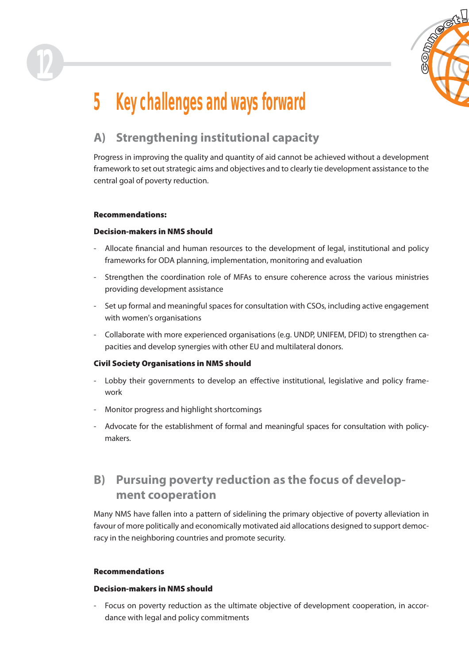

## **5 Key challenges and ways forward**

## **A) Strengthening institutional capacity**

Progress in improving the quality and quantity of aid cannot be achieved without a development framework to set out strategic aims and objectives and to clearly tie development assistance to the central goal of poverty reduction.

#### **Recommendations:**

**12**

#### **Decision-makers in NMS should**

- Allocate financial and human resources to the development of legal, institutional and policy frameworks for ODA planning, implementation, monitoring and evaluation
- Strengthen the coordination role of MFAs to ensure coherence across the various ministries providing development assistance
- Set up formal and meaningful spaces for consultation with CSOs, including active engagement with women's organisations
- Collaborate with more experienced organisations (e.g. UNDP, UNIFEM, DFID) to strengthen capacities and develop synergies with other EU and multilateral donors.

#### **Civil Society Organisations in NMS should**

- Lobby their governments to develop an effective institutional, legislative and policy framework
- Monitor progress and highlight shortcomings
- Advocate for the establishment of formal and meaningful spaces for consultation with policymakers.

### **B) Pursuing poverty reduction as the focus of development cooperation**

Many NMS have fallen into a pattern of sidelining the primary objective of poverty alleviation in favour of more politically and economically motivated aid allocations designed to support democracy in the neighboring countries and promote security.

#### **Recommendations**

#### **Decision-makers in NMS should**

- Focus on poverty reduction as the ultimate objective of development cooperation, in accordance with legal and policy commitments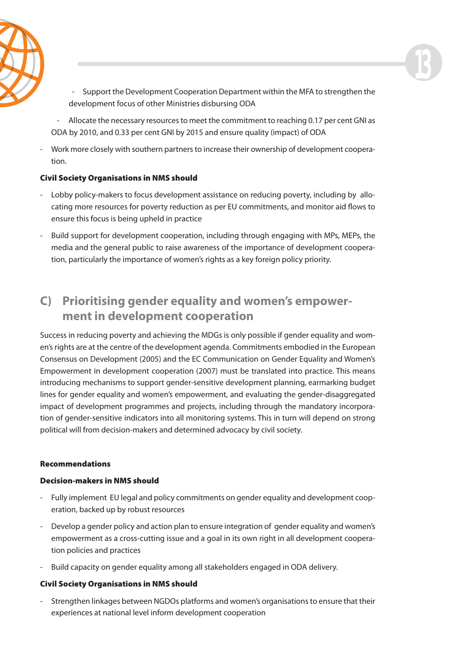

- Support the Development Cooperation Department within the MFA to strengthen the development focus of other Ministries disbursing ODA

**13**

- Allocate the necessary resources to meet the commitment to reaching 0.17 per cent GNI as ODA by 2010, and 0.33 per cent GNI by 2015 and ensure quality (impact) of ODA

- Work more closely with southern partners to increase their ownership of development cooperation.

#### **Civil Society Organisations in NMS should**

- Lobby policy-makers to focus development assistance on reducing poverty, including by allocating more resources for poverty reduction as per EU commitments, and monitor aid flows to ensure this focus is being upheld in practice
- Build support for development cooperation, including through engaging with MPs, MEPs, the media and the general public to raise awareness of the importance of development cooperation, particularly the importance of women's rights as a key foreign policy priority.

### **C) Prioritising gender equality and women's empowerment in development cooperation**

Success in reducing poverty and achieving the MDGs is only possible if gender equality and women's rights are at the centre of the development agenda. Commitments embodied in the European Consensus on Development (2005) and the EC Communication on Gender Equality and Women's Empowerment in development cooperation (2007) must be translated into practice. This means introducing mechanisms to support gender-sensitive development planning, earmarking budget lines for gender equality and women's empowerment, and evaluating the gender-disaggregated impact of development programmes and projects, including through the mandatory incorporation of gender-sensitive indicators into all monitoring systems. This in turn will depend on strong political will from decision-makers and determined advocacy by civil society.

#### **Recommendations**

#### **Decision-makers in NMS should**

- Fully implement EU legal and policy commitments on gender equality and development cooperation, backed up by robust resources
- Develop a gender policy and action plan to ensure integration of gender equality and women's empowerment as a cross-cutting issue and a goal in its own right in all development cooperation policies and practices
- Build capacity on gender equality among all stakeholders engaged in ODA delivery.

#### **Civil Society Organisations in NMS should**

- Strengthen linkages between NGDOs platforms and women's organisations to ensure that their experiences at national level inform development cooperation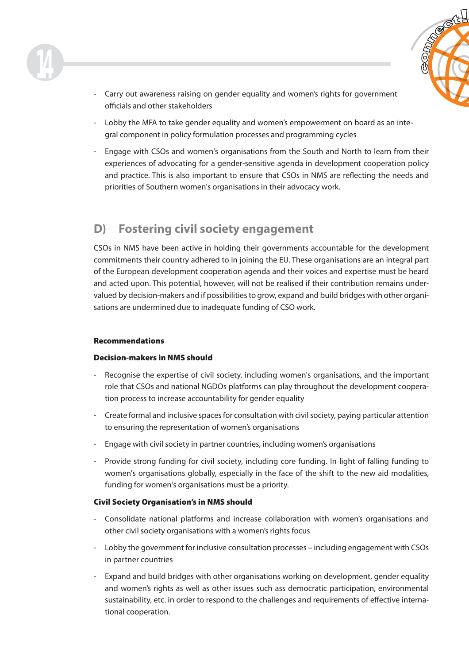

- Carry out awareness raising on gender equality and women's rights for government officials and other stakeholders
- Lobby the MFA to take gender equality and women's empowerment on board as an integral component in policy formulation processes and programming cycles
- Engage with CSOs and women's organisations from the South and North to learn from their experiences of advocating for a gender-sensitive agenda in development cooperation policy and practice. This is also important to ensure that CSOs in NMS are reflecting the needs and priorities of Southern women's organisations in their advocacy work.

### **D) Fostering civil society engagement**

CSOs in NMS have been active in holding their governments accountable for the development commitments their country adhered to in joining the EU. These organisations are an integral part of the European development cooperation agenda and their voices and expertise must be heard and acted upon. This potential, however, will not be realised if their contribution remains undervalued by decision-makers and if possibilities to grow, expand and build bridges with other organisations are undermined due to inadequate funding of CSO work.

#### **Recommendations**

#### **Decision-makers in NMS should**

- Recognise the expertise of civil society, including women's organisations, and the important role that CSOs and national NGDOs platforms can play throughout the development cooperation process to increase accountability for gender equality
- Create formal and inclusive spaces for consultation with civil society, paying particular attention to ensuring the representation of women's organisations
- Engage with civil society in partner countries, including women's organisations
- Provide strong funding for civil society, including core funding. In light of falling funding to women's organisations globally, especially in the face of the shift to the new aid modalities, funding for women's organisations must be a priority.

#### **Civil Society Organisation's in NMS should**

- Consolidate national platforms and increase collaboration with women's organisations and other civil society organisations with a women's rights focus
- Lobby the government for inclusive consultation processes including engagement with CSOs in partner countries
- Expand and build bridges with other organisations working on development, gender equality and women's rights as well as other issues such ass democratic participation, environmental sustainability, etc. in order to respond to the challenges and requirements of effective international cooperation.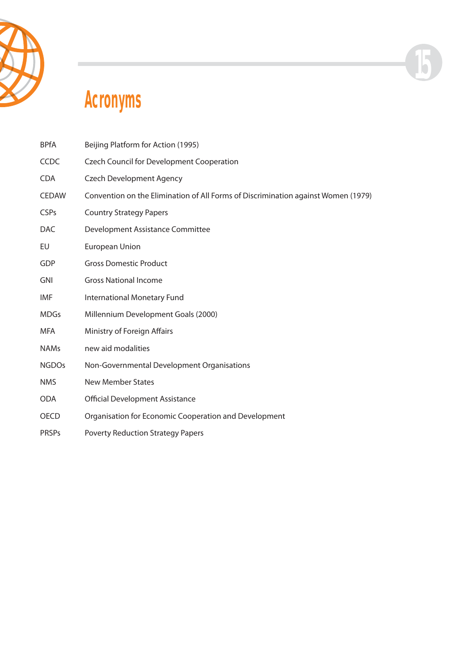



## **Acronyms**

| <b>BPfA</b>  | Beijing Platform for Action (1995)                                                |
|--------------|-----------------------------------------------------------------------------------|
| <b>CCDC</b>  | <b>Czech Council for Development Cooperation</b>                                  |
| <b>CDA</b>   | <b>Czech Development Agency</b>                                                   |
| <b>CEDAW</b> | Convention on the Elimination of All Forms of Discrimination against Women (1979) |
| <b>CSPs</b>  | <b>Country Strategy Papers</b>                                                    |
| <b>DAC</b>   | Development Assistance Committee                                                  |
| EU           | European Union                                                                    |
| GDP          | <b>Gross Domestic Product</b>                                                     |
| <b>GNI</b>   | <b>Gross National Income</b>                                                      |
| IMF          | International Monetary Fund                                                       |
| <b>MDGs</b>  | Millennium Development Goals (2000)                                               |
| <b>MFA</b>   | Ministry of Foreign Affairs                                                       |
| <b>NAMs</b>  | new aid modalities                                                                |
| <b>NGDOs</b> | Non-Governmental Development Organisations                                        |
| <b>NMS</b>   | <b>New Member States</b>                                                          |
| <b>ODA</b>   | <b>Official Development Assistance</b>                                            |
| <b>OECD</b>  | Organisation for Economic Cooperation and Development                             |
| <b>PRSPs</b> | <b>Poverty Reduction Strategy Papers</b>                                          |